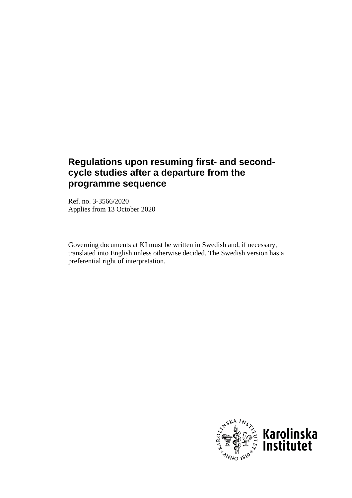# **Regulations upon resuming first- and secondcycle studies after a departure from the programme sequence**

Ref. no. 3-3566/2020 Applies from 13 October 2020

Governing documents at KI must be written in Swedish and, if necessary, translated into English unless otherwise decided. The Swedish version has a preferential right of interpretation.

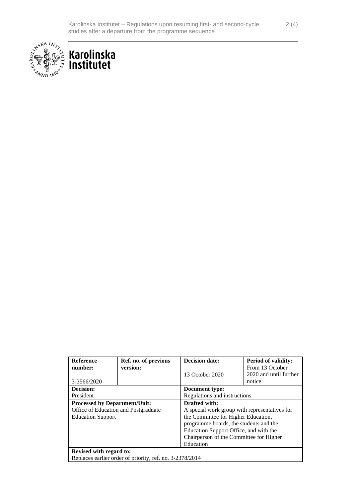



| <b>Reference</b>                                         | Ref. no. of previous | <b>Decision date:</b>                         | <b>Period of validity:</b> |
|----------------------------------------------------------|----------------------|-----------------------------------------------|----------------------------|
| number:                                                  | version:             |                                               | From 13 October            |
|                                                          |                      | 13 October 2020                               | 2020 and until further     |
| 3-3566/2020                                              |                      |                                               | notice                     |
| Decision:                                                |                      | Document type:                                |                            |
| President                                                |                      | Regulations and instructions                  |                            |
| <b>Processed by Department/Unit:</b>                     |                      | Drafted with:                                 |                            |
| Office of Education and Postgraduate                     |                      | A special work group with representatives for |                            |
| <b>Education Support</b>                                 |                      | the Committee for Higher Education,           |                            |
|                                                          |                      | programme boards, the students and the        |                            |
|                                                          |                      | Education Support Office, and with the        |                            |
|                                                          |                      | Chairperson of the Committee for Higher       |                            |
|                                                          |                      | Education                                     |                            |
| <b>Revised with regard to:</b>                           |                      |                                               |                            |
| Replaces earlier order of priority, ref. no. 3-2378/2014 |                      |                                               |                            |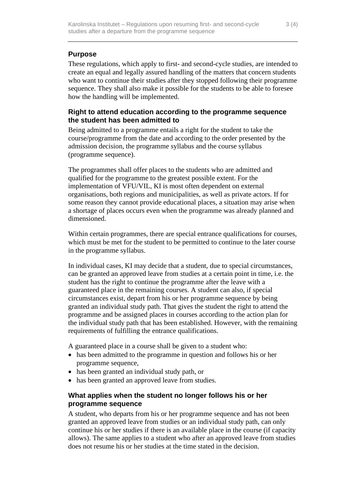# **Purpose**

These regulations, which apply to first- and second-cycle studies, are intended to create an equal and legally assured handling of the matters that concern students who want to continue their studies after they stopped following their programme sequence. They shall also make it possible for the students to be able to foresee how the handling will be implemented.

## **Right to attend education according to the programme sequence the student has been admitted to**

Being admitted to a programme entails a right for the student to take the course/programme from the date and according to the order presented by the admission decision, the programme syllabus and the course syllabus (programme sequence).

The programmes shall offer places to the students who are admitted and qualified for the programme to the greatest possible extent. For the implementation of VFU/VIL, KI is most often dependent on external organisations, both regions and municipalities, as well as private actors. If for some reason they cannot provide educational places, a situation may arise when a shortage of places occurs even when the programme was already planned and dimensioned.

Within certain programmes, there are special entrance qualifications for courses, which must be met for the student to be permitted to continue to the later course in the programme syllabus.

In individual cases, KI may decide that a student, due to special circumstances, can be granted an approved leave from studies at a certain point in time, i.e. the student has the right to continue the programme after the leave with a guaranteed place in the remaining courses. A student can also, if special circumstances exist, depart from his or her programme sequence by being granted an individual study path. That gives the student the right to attend the programme and be assigned places in courses according to the action plan for the individual study path that has been established. However, with the remaining requirements of fulfilling the entrance qualifications.

A guaranteed place in a course shall be given to a student who:

- has been admitted to the programme in question and follows his or her programme sequence,
- has been granted an individual study path, or
- has been granted an approved leave from studies.

## **What applies when the student no longer follows his or her programme sequence**

A student, who departs from his or her programme sequence and has not been granted an approved leave from studies or an individual study path, can only continue his or her studies if there is an available place in the course (if capacity allows). The same applies to a student who after an approved leave from studies does not resume his or her studies at the time stated in the decision.